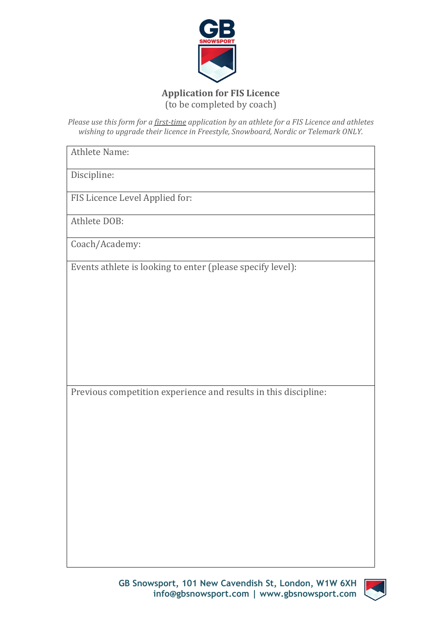

## **Application for FIS Licence** (to be completed by coach)

*Please use this form for a first-time application by an athlete for a FIS Licence and athletes wishing to upgrade their licence in Freestyle, Snowboard, Nordic or Telemark ONLY.*

Athlete Name:

Discipline:

FIS Licence Level Applied for:

Athlete DOB:

Coach/Academy:

Events athlete is looking to enter (please specify level):

Previous competition experience and results in this discipline:

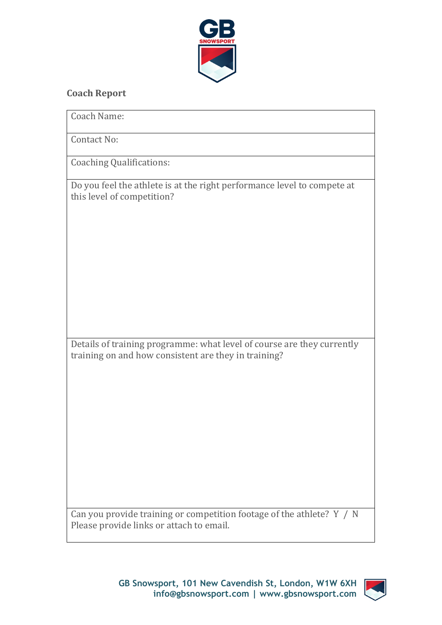

## **Coach Report**

| Coach Name:                                                                                                                    |
|--------------------------------------------------------------------------------------------------------------------------------|
| <b>Contact No:</b>                                                                                                             |
| <b>Coaching Qualifications:</b>                                                                                                |
| Do you feel the athlete is at the right performance level to compete at<br>this level of competition?                          |
| Details of training programme: what level of course are they currently<br>training on and how consistent are they in training? |
|                                                                                                                                |
| Can you provide training or competition footage of the athlete? Y / N                                                          |

Please provide links or attach to email.